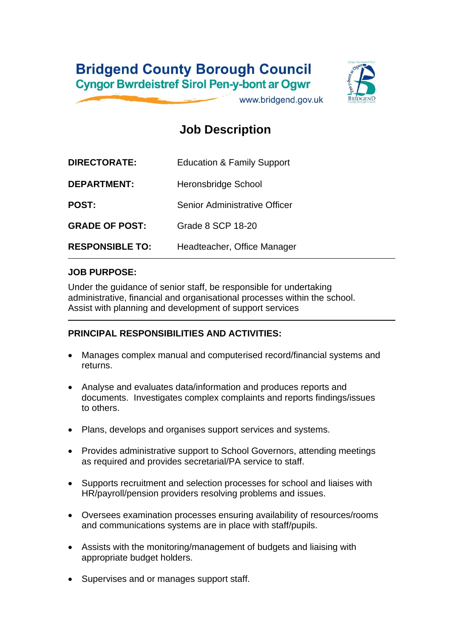## **Bridgend County Borough Council Cyngor Bwrdeistref Sirol Pen-y-bont ar Ogwr**



www.bridgend.gov.uk

## **Job Description**

| <b>DIRECTORATE:</b>    | <b>Education &amp; Family Support</b> |
|------------------------|---------------------------------------|
| <b>DEPARTMENT:</b>     | <b>Heronsbridge School</b>            |
| <b>POST:</b>           | Senior Administrative Officer         |
| <b>GRADE OF POST:</b>  | Grade 8 SCP 18-20                     |
| <b>RESPONSIBLE TO:</b> | Headteacher, Office Manager           |

#### **JOB PURPOSE:**

Under the guidance of senior staff, be responsible for undertaking administrative, financial and organisational processes within the school. Assist with planning and development of support services

### **PRINCIPAL RESPONSIBILITIES AND ACTIVITIES:**

- Manages complex manual and computerised record/financial systems and returns.
- Analyse and evaluates data/information and produces reports and documents. Investigates complex complaints and reports findings/issues to others.
- Plans, develops and organises support services and systems.
- Provides administrative support to School Governors, attending meetings as required and provides secretarial/PA service to staff.
- Supports recruitment and selection processes for school and liaises with HR/payroll/pension providers resolving problems and issues.
- Oversees examination processes ensuring availability of resources/rooms and communications systems are in place with staff/pupils.
- Assists with the monitoring/management of budgets and liaising with appropriate budget holders.
- Supervises and or manages support staff.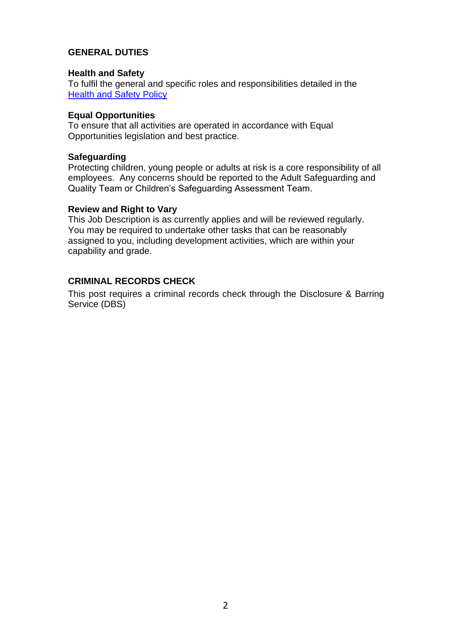#### **GENERAL DUTIES**

#### **Health and Safety**

To fulfil the general and specific roles and responsibilities detailed in the [Health and Safety Policy](http://www.bridgenders.net/healthandsafety/Documents/Corporate%20Health%20and%20Safety%20Policy%20June%202017.pdf)

#### **Equal Opportunities**

To ensure that all activities are operated in accordance with Equal Opportunities legislation and best practice.

#### **Safeguarding**

Protecting children, young people or adults at risk is a core responsibility of all employees. Any concerns should be reported to the Adult Safeguarding and Quality Team or Children's Safeguarding Assessment Team.

#### **Review and Right to Vary**

This Job Description is as currently applies and will be reviewed regularly. You may be required to undertake other tasks that can be reasonably assigned to you, including development activities, which are within your capability and grade.

#### **CRIMINAL RECORDS CHECK**

This post requires a criminal records check through the Disclosure & Barring Service (DBS)